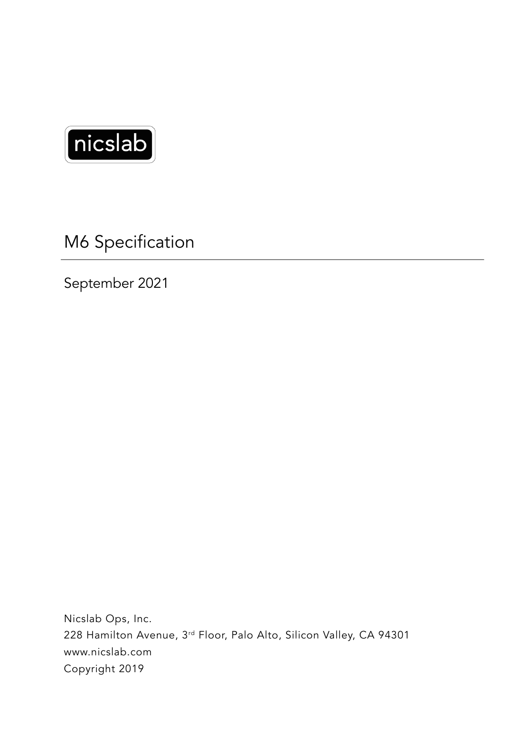

M6 Specification

September 2021

Nicslab Ops, Inc. 228 Hamilton Avenue, 3rd Floor, Palo Alto, Silicon Valley, CA 94301 www.nicslab.com Copyright 2019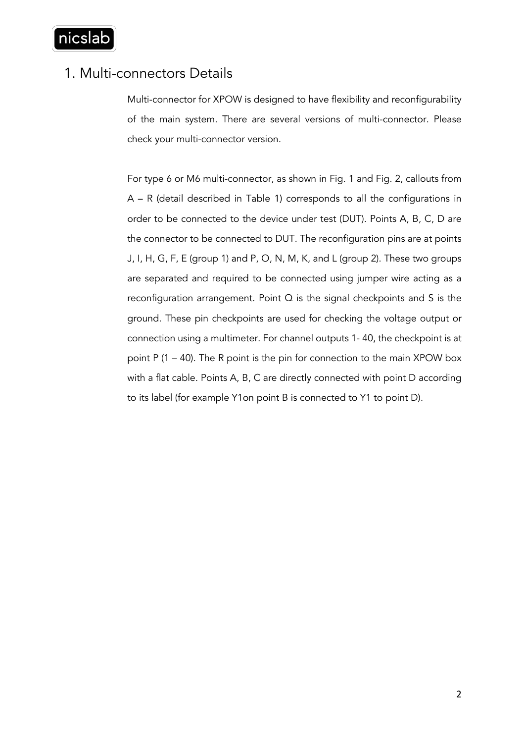

## 1. Multi-connectors Details

Multi-connector for XPOW is designed to have flexibility and reconfigurability of the main system. There are several versions of multi-connector. Please check your multi-connector version.

For type 6 or M6 multi-connector, as shown in Fig. 1 and Fig. 2, callouts from A – R (detail described in Table 1) corresponds to all the configurations in order to be connected to the device under test (DUT). Points A, B, C, D are the connector to be connected to DUT. The reconfiguration pins are at points J, I, H, G, F, E (group 1) and P, O, N, M, K, and L (group 2). These two groups are separated and required to be connected using jumper wire acting as a reconfiguration arrangement. Point  $Q$  is the signal checkpoints and S is the ground. These pin checkpoints are used for checking the voltage output or connection using a multimeter. For channel outputs 1- 40, the checkpoint is at point P (1 – 40). The R point is the pin for connection to the main XPOW box with a flat cable. Points A, B, C are directly connected with point D according to its label (for example Y1on point B is connected to Y1 to point D).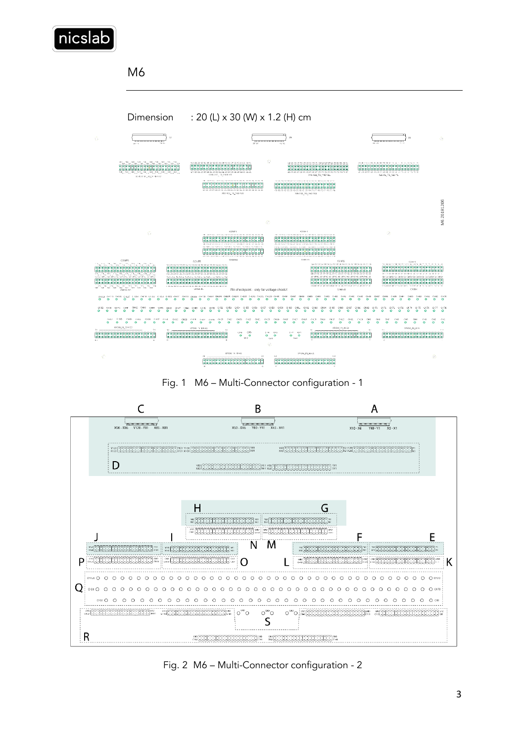M6

| Dimension                                                                                                                                                                                                                                                                                                                                                                                                                                                                                   |                                                                                                                                                                                                                                                                                                                                                                                                                                                                                                                 |                                           | : 20 (L) x 30 (W) x 1.2 (H) cm         |                                                                                                                                                                                                                                                                                                                                                                                    |                                                                                                                                                                                                                                                                                                                                                                                                                                                              |                              |                                                            |                                    |                                                   |                      |                                                                                                                                                                                                                                                                                                                                                                                                                                                                                                        |                               |                    |                                  |                                                                                                                                                                                                                                                                                                                                                                                                                                                                            |                   |                                                                                                                 |                               |                                                                                                                                                                                                                                                                                                                                                                                              |            |                      |                                 |                    |                        |                  |
|---------------------------------------------------------------------------------------------------------------------------------------------------------------------------------------------------------------------------------------------------------------------------------------------------------------------------------------------------------------------------------------------------------------------------------------------------------------------------------------------|-----------------------------------------------------------------------------------------------------------------------------------------------------------------------------------------------------------------------------------------------------------------------------------------------------------------------------------------------------------------------------------------------------------------------------------------------------------------------------------------------------------------|-------------------------------------------|----------------------------------------|------------------------------------------------------------------------------------------------------------------------------------------------------------------------------------------------------------------------------------------------------------------------------------------------------------------------------------------------------------------------------------|--------------------------------------------------------------------------------------------------------------------------------------------------------------------------------------------------------------------------------------------------------------------------------------------------------------------------------------------------------------------------------------------------------------------------------------------------------------|------------------------------|------------------------------------------------------------|------------------------------------|---------------------------------------------------|----------------------|--------------------------------------------------------------------------------------------------------------------------------------------------------------------------------------------------------------------------------------------------------------------------------------------------------------------------------------------------------------------------------------------------------------------------------------------------------------------------------------------------------|-------------------------------|--------------------|----------------------------------|----------------------------------------------------------------------------------------------------------------------------------------------------------------------------------------------------------------------------------------------------------------------------------------------------------------------------------------------------------------------------------------------------------------------------------------------------------------------------|-------------------|-----------------------------------------------------------------------------------------------------------------|-------------------------------|----------------------------------------------------------------------------------------------------------------------------------------------------------------------------------------------------------------------------------------------------------------------------------------------------------------------------------------------------------------------------------------------|------------|----------------------|---------------------------------|--------------------|------------------------|------------------|
| XX.                                                                                                                                                                                                                                                                                                                                                                                                                                                                                         | $\mathbf{x}$<br>$-74 - 66$<br>$\mathcal{A} \in \mathcal{A}$                                                                                                                                                                                                                                                                                                                                                                                                                                                     |                                           |                                        | 311.000                                                                                                                                                                                                                                                                                                                                                                            |                                                                                                                                                                                                                                                                                                                                                                                                                                                              |                              |                                                            |                                    |                                                   |                      | X5                                                                                                                                                                                                                                                                                                                                                                                                                                                                                                     |                               |                    |                                  |                                                                                                                                                                                                                                                                                                                                                                                                                                                                            |                   |                                                                                                                 |                               | 308<br>----------------------------<br>386, 396                                                                                                                                                                                                                                                                                                                                              |            |                      |                                 |                    |                        |                  |
|                                                                                                                                                                                                                                                                                                                                                                                                                                                                                             | $\frac{1}{1000} \cdot \frac{1}{1000} \cdot \frac{1}{1000} \cdot \frac{1}{1000} \cdot \frac{1}{1000} \cdot \frac{1}{1000} \cdot \frac{1}{1000} \cdot \frac{1}{1000} \cdot \frac{1}{1000} \cdot \frac{1}{1000} \cdot \frac{1}{1000} \cdot \frac{1}{1000} \cdot \frac{1}{1000} \cdot \frac{1}{1000} \cdot \frac{1}{1000} \cdot \frac{1}{1000} \cdot \frac{1}{1000} \cdot \frac{1}{1000} \cdot \frac{1$<br>a dia aldalahalahalahalahalahalahal<br><u>olololololololololololololololol</u><br>KIZD KINI_IQ_VIZD VIZI |                                           |                                        | the position of the control of the control of the control of the control of the control of<br>a a a a baix a baix a baix a baix a baix a baix<br><u>lalalala alalalalalalalalala ala</u><br>234 235 236 236 237 238 239 239 239 232 233 234 235 237 238 239 239 239 230 231 232 233                                                                                                | KIRLER TO YER YET<br>AND CONTRACT CHARGE WAS CONSTRUCTED VIOLATED AND THE VIOLATED AT A<br>pla algla algla la la la la la la la la la la<br><u>lale elalalalalalalalalalalalalalal</u> al<br>NO ATLAS AND STRIKES AND STALKING STALKING ONE AND AND ARRESTS AND AND<br>K03 XX1 TO Yao Yo1                                                                                                                                                                    |                              |                                                            | 93.                                |                                                   |                      | was the wid with the work that the wid with was too that that the work that the with with<br>ana ana amin'ny fivondronan-kaominin'i Gregory no ben'ny tanàna mandritry ny taona 2008–2014. Ila<br><u>ବାବାବାବାବାବାବାବାବାବାବାବାବାବାବାବା</u><br>GROSS AND ARRANGEMENT OF DUIDER ENTERTAINMENT<br>THE VALUE ALL PER THE WALL PLAT THE VALUE OF PAID AND ARREST PARTNER WAS THE THE<br><u> ⊚ ≎`© © © © © © © © © © © © © </u><br>No da xa kat as as ka ka as xa ku tar ye ata at ka as ye. Ka as ye ke      | X20 X41_TO_Y60 Y41            | X46-X21_TO_Y40-Y21 |                                  |                                                                                                                                                                                                                                                                                                                                                                                                                                                                            |                   | chain contexts in contexts we wrate to our terms of the section<br><u>lololololololololololololololololo</u> lo |                               | ALCOHOL: 49-38-38-39<br>X20-KL_TO_V20-YL                                                                                                                                                                                                                                                                                                                                                     |            |                      |                                 |                    |                        |                  |
|                                                                                                                                                                                                                                                                                                                                                                                                                                                                                             |                                                                                                                                                                                                                                                                                                                                                                                                                                                                                                                 |                                           |                                        |                                                                                                                                                                                                                                                                                                                                                                                    |                                                                                                                                                                                                                                                                                                                                                                                                                                                              |                              |                                                            | Ø.                                 |                                                   |                      |                                                                                                                                                                                                                                                                                                                                                                                                                                                                                                        |                               |                    |                                  |                                                                                                                                                                                                                                                                                                                                                                                                                                                                            |                   |                                                                                                                 |                               |                                                                                                                                                                                                                                                                                                                                                                                              |            |                      |                                 |                    |                        | M6 20191206      |
|                                                                                                                                                                                                                                                                                                                                                                                                                                                                                             | ŵ                                                                                                                                                                                                                                                                                                                                                                                                                                                                                                               |                                           |                                        |                                                                                                                                                                                                                                                                                                                                                                                    | COND1<br>and do in the contract of construction of contact of the series<br><b>ଜଳାବାରିକ କାରୀକାରୀକାରୀ କାରୀକାରୀକ କାର</b><br><u> ବାବାବାବାବାବାବାବାବାବାବାବାବାବାବାବା</u><br>DE 214 AP 12: 215 AV 177 214 AP 11: AN 101-214 AP 12: 216 AV 12: 212 AV<br>Section to Service Service Service Service Services<br>aa'a'a'a'a'a'a'a'a'a'a'a'a'a'a'a'a'a<br><u>se que aperenando apere</u> n<br>charge concerted cay course as car as an antiste antichi durante chi chi |                              |                                                            |                                    |                                                   |                      | COM-3<br>the maintenance describes that we describe the contract and other them with<br>ଜନ ବାରାଜାବାରାଜାବାରାଜ ବାରାଜାବାରାଜାବାରା<br><u>©®®©®®©®®®®®®®®®®®®</u><br>the team for your five the state that you had you are the team of the original three teams.<br>ning, the Palme, SacPalme, Go Palme, no Saltherne SacPalmente, SacPal<br>olo alolalalalalalala alola alolalala<br><u>lale alale lale la lale la lale la lale</u><br>Not obviously on the format development and the format of the format |                               |                    |                                  |                                                                                                                                                                                                                                                                                                                                                                                                                                                                            |                   |                                                                                                                 |                               |                                                                                                                                                                                                                                                                                                                                                                                              |            |                      |                                 |                    |                        |                  |
| CONFS.<br>i talah bahasa sebagai dan perbanyak perbanyak<br><u>olo olo olo olo olo lolo olo olo olo</u><br>and and an and an annual art.<br>Containing between the the third and an<br>as ans closed as a solor and all<br>ala alala alala alala alala alala ala<br>.<br>דומה המאוד המאוד המאוד המאוד המאוד המאוד המאוד המאוד המאוד המאוד המאוד המאוד המאוד.<br>דומה המאוד המאוד המאוד המאוד המאוד המאוד המאוד המאוד המאוד המאוד המאוד המאוד המאוד המאוד המאוד המאוד המאוד המא<br>CH120 101 |                                                                                                                                                                                                                                                                                                                                                                                                                                                                                                                 |                                           | CONFR                                  | <u>le elelelelelelele elelelelelelele</u> le<br>JON 499 ASS 2011 AND 450 ASS 2012 2013 ASS 2011 2012 AND AND AND AND AND 2022 2042<br>Partners Da Palm / Salfatha - Salfatha - Na Salfatha an Salfa ing Sal<br><b>Geleenderen Geleender</b><br><u>(a elolalelelelelele elola elolalelele</u><br>Consideration can also be clear are on on an on can assume on one as<br>CONTRACTOR | <1000.61                                                                                                                                                                                                                                                                                                                                                                                                                                                     |                              | Pin checkpaint - only for voltage check!!                  |                                    |                                                   |                      |                                                                                                                                                                                                                                                                                                                                                                                                                                                                                                        | 090341                        |                    |                                  | CONTS.<br>We can see the create that the top the changes are not the cap out the cap<br><u>olololololololololololololololo</u><br>and are lost any ten son and are contact the same and are any and the way<br>are similars and similars are and similars and similars and similars and similars are<br><b>GOOD COOP COOP COOP COOP</b><br><u> a a a a a a e a a a a a a a a a a a a a</u><br>A DOMESTIC OR EXPLOITED FOR A 200 FOR CHILD'S STEVEL OF DOMESTIC<br>01140-21 |                   |                                                                                                                 |                               | de la recipie de la caractería de la caractería de la caractería<br>iota'atoi'a'atoi'a'a'otoi'a'a'otoi'a'a'otoi'a'a'o<br><u>∣ตตติดศิลดิตศตติดศตติดศตศ</u><br>2011 11:00:24:00:28:00:00:20:26:27:28:22:00:22:00:22:00:00:00:28<br>Gy Skickety Stickety Stickety Stickety Gridwich Colorador Skickety<br><b>OF THE THE THE DETECTOR</b><br>IT WAS THE REPORT OF THE CONTRACTOR OF ALL ALL DEAD |            | $C(33) - 1$<br>CHOOL |                                 |                    |                        |                  |
| CHECO CHITA CHECK CLER CHECK CHECK CLERA CHECK CHIT CHECK CHECK CHECK CHECK CHECK CHECK CHECK CHECK CHECK CHECK CHECK CHECK CHECK CHECK CHECK CHECK CHECK CHECK CHECK CHECK CHECK CHECK CHECK CHECK CHECK CHECK<br>$\bullet$<br>$\Omega$<br>$\sim$<br>$\Omega$                                                                                                                                                                                                                              | $\bullet$<br>$\Omega$<br>$\bullet$                                                                                                                                                                                                                                                                                                                                                                                                                                                                              | $\bullet$<br>$\bullet$                    | $\bullet$<br>$\sim$                    | $\circ$<br>$\Omega$                                                                                                                                                                                                                                                                                                                                                                | $\Omega$<br>$\sigma$                                                                                                                                                                                                                                                                                                                                                                                                                                         | $\bullet$<br>$\Omega$        | $\bullet$                                                  | $\bullet$<br>$\bullet$             | $\bullet$                                         | $\bullet$            | $\circ$<br>$\Omega$                                                                                                                                                                                                                                                                                                                                                                                                                                                                                    | $\alpha$<br>$\Omega$          | $\bullet$          | $\bullet$                        | $\bullet$<br>$\bullet$                                                                                                                                                                                                                                                                                                                                                                                                                                                     | $\circ$           | $\bullet$<br>$\Omega$                                                                                           | $\bullet$                     | CHRS. CHRS. CHRZ<br>$\alpha$                                                                                                                                                                                                                                                                                                                                                                 | $\alpha$   | CHES<br>$\bullet$    | CHR2 CHR1 CHRC CH70<br>$\alpha$ | $\bullet$          | $\sim$                 | $\bullet$        |
| CH42<br>(3.00)<br><b>Child</b><br>Chine<br>Chest.<br>$\sim$<br>ä<br>$\sim$<br>$\ddot{\phantom{1}}$<br>$\ddot{\phantom{1}}$                                                                                                                                                                                                                                                                                                                                                                  | -CH13<br>$2444$<br>cast.<br>$\sim$<br>$\circ$<br>$\bullet$                                                                                                                                                                                                                                                                                                                                                                                                                                                      | 01:47<br>Chang.<br>$\bullet$<br>$\bullet$ | $\bullet$<br>$\bullet$                 | CHAN CING CISC CIST CIS2<br>$\bullet$<br>$\circ$                                                                                                                                                                                                                                                                                                                                   | CLI53<br>۰<br>$\circ$                                                                                                                                                                                                                                                                                                                                                                                                                                        | C1156<br>$\circ$<br>$\circ$  | CI 155<br>CI I56<br>$\circ$                                | CI 157<br>۰                        | CI ISB<br>CI E9<br>$\circ$<br>۰                   | C1120<br>$\circ$     | CIRL.<br>$\circ$                                                                                                                                                                                                                                                                                                                                                                                                                                                                                       | C1R2<br>C1132<br>۰<br>$\circ$ | C1124<br>۰         | C1125<br>CIIB6<br>$\circ$<br>۰   | CI B7<br>$\sim$                                                                                                                                                                                                                                                                                                                                                                                                                                                            | C1126<br>$\sim$   | $139$<br>CLIPD:<br>$\circ$<br>۰                                                                                 | C171<br>۰                     | CLIPS.<br>۰                                                                                                                                                                                                                                                                                                                                                                                  | C1172<br>۰ | C174<br>۰            | CI 75<br>$\sim$                 | C1.72<br>$\bullet$ | (177 (178<br>$\sim$    | $\sim$           |
| $<$ 156<br>CHOS FIRST<br>CALL:<br>$\bullet$<br>$\bullet$<br>۰<br>KFOW_PL_120-101<br>as as a sangalalala sa sa sa<br><u>lole dole elolololololololololololololo</u>                                                                                                                                                                                                                                                                                                                          | cion case<br>$\bullet$<br>۰<br>$\circ$<br>$\bullet$<br>10.1                                                                                                                                                                                                                                                                                                                                                                                                                                                     | CHA<br>$\circ$                            | CHOC CH29 CH2X<br>$\bullet$<br>$\circ$ | CH27<br>$\bullet$<br>$\circ$<br>XFOW N 100-81<br><b>Grandalandalar and and an</b><br><u>le olololololololo dolo olololololo</u>                                                                                                                                                                                                                                                    | C-01 C-25<br>CH2/<br>$\bullet$<br>$\bullet$<br>Co.                                                                                                                                                                                                                                                                                                                                                                                                           | CH25<br>$\circ$<br>CTM1<br>۰ | $C$ H22<br>C(1)<br>۰<br>$\circ$<br>CPS<br>$\bullet$<br>Grd | CH22<br>$\circ$<br>$\bullet$<br>Ÿ. | CHIO<br>۰<br>that cars<br>$\circ$<br><b>Circl</b> | CHIE<br>$\circ$<br>۰ | CHL7<br>CHIE<br>۰<br>$\Omega$<br>and a<br>02012<br>$\bullet$<br><b>Clutch</b>                                                                                                                                                                                                                                                                                                                                                                                                                          | CH'S<br>$\circ$               | CHIS<br>$\circ$    | $C+17$<br>$\bullet$<br>$\bullet$ | CHIC<br>$crit$<br>$\circ$<br>XPON/ N 40-21<br><b>a de el de el de el de el de el de el de e</b><br><u>colo colo colo dolo colo colo c</u>                                                                                                                                                                                                                                                                                                                                  | CHOS<br>$\bullet$ | O(1)<br>۰<br>C.                                                                                                 | CHA<br>$\Omega$<br><b>FOR</b> | C <sub>2</sub><br>۰<br>$\circ$<br><b>OCCOSED DESCRIPTIONS</b><br><u>lolo olo olololololo dolo ololololo</u>                                                                                                                                                                                                                                                                                  | C MS.<br>۰ | Cutt<br>XPOW_IN_20-1 | CHI<br>۰                        | CHA<br>۰           | CHZ<br>$\circ$<br>1.14 | CH1<br>$\bullet$ |
|                                                                                                                                                                                                                                                                                                                                                                                                                                                                                             |                                                                                                                                                                                                                                                                                                                                                                                                                                                                                                                 |                                           |                                        |                                                                                                                                                                                                                                                                                                                                                                                    | <u>asaacaasaaaaaaaaaaaaa</u><br>a a qua qua a qua a qua qua qua qua qu                                                                                                                                                                                                                                                                                                                                                                                       | XPON N 30-61                 |                                                            |                                    | <b>HM</b>                                         |                      | $\circ$ . The state of the state state state $\circ$<br><u>la a alala alala a alala alala alalala</u>                                                                                                                                                                                                                                                                                                                                                                                                  | XPOW_BL_60-41                 |                    |                                  |                                                                                                                                                                                                                                                                                                                                                                                                                                                                            |                   |                                                                                                                 |                               |                                                                                                                                                                                                                                                                                                                                                                                              |            |                      |                                 |                    | Ž.                     |                  |





Fig. 2 M6 – Multi-Connector configuration - 2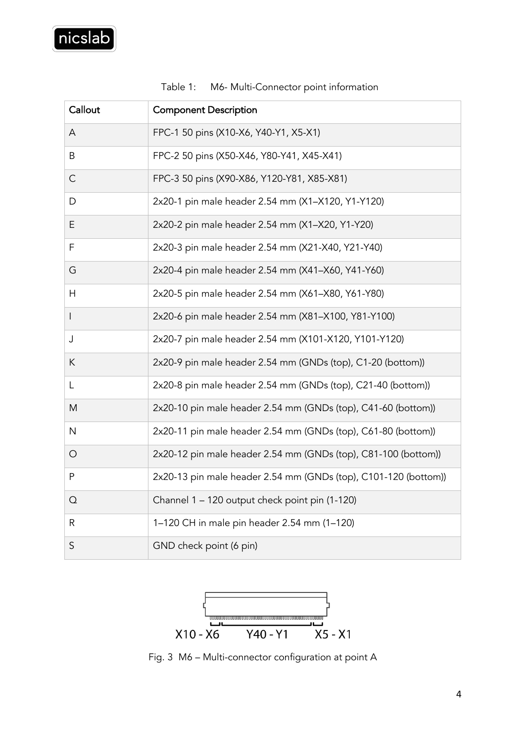

| Callout      | <b>Component Description</b>                                    |  |  |  |  |  |  |
|--------------|-----------------------------------------------------------------|--|--|--|--|--|--|
| A            | FPC-1 50 pins (X10-X6, Y40-Y1, X5-X1)                           |  |  |  |  |  |  |
| B            | FPC-2 50 pins (X50-X46, Y80-Y41, X45-X41)                       |  |  |  |  |  |  |
| $\mathsf{C}$ | FPC-3 50 pins (X90-X86, Y120-Y81, X85-X81)                      |  |  |  |  |  |  |
| D            | 2x20-1 pin male header 2.54 mm (X1-X120, Y1-Y120)               |  |  |  |  |  |  |
| E            | 2x20-2 pin male header 2.54 mm (X1-X20, Y1-Y20)                 |  |  |  |  |  |  |
| F            | 2x20-3 pin male header 2.54 mm (X21-X40, Y21-Y40)               |  |  |  |  |  |  |
| G            | 2x20-4 pin male header 2.54 mm (X41-X60, Y41-Y60)               |  |  |  |  |  |  |
| H            | 2x20-5 pin male header 2.54 mm (X61-X80, Y61-Y80)               |  |  |  |  |  |  |
| $\mathsf{I}$ | 2x20-6 pin male header 2.54 mm (X81-X100, Y81-Y100)             |  |  |  |  |  |  |
| J            | 2x20-7 pin male header 2.54 mm (X101-X120, Y101-Y120)           |  |  |  |  |  |  |
| K            | 2x20-9 pin male header 2.54 mm (GNDs (top), C1-20 (bottom))     |  |  |  |  |  |  |
| L            | 2x20-8 pin male header 2.54 mm (GNDs (top), C21-40 (bottom))    |  |  |  |  |  |  |
| M            | 2x20-10 pin male header 2.54 mm (GNDs (top), C41-60 (bottom))   |  |  |  |  |  |  |
| $\mathsf{N}$ | 2x20-11 pin male header 2.54 mm (GNDs (top), C61-80 (bottom))   |  |  |  |  |  |  |
| $\bigcirc$   | 2x20-12 pin male header 2.54 mm (GNDs (top), C81-100 (bottom))  |  |  |  |  |  |  |
| P            | 2x20-13 pin male header 2.54 mm (GNDs (top), C101-120 (bottom)) |  |  |  |  |  |  |
| $\Omega$     | Channel 1 - 120 output check point pin (1-120)                  |  |  |  |  |  |  |
| R            | 1-120 CH in male pin header 2.54 mm (1-120)                     |  |  |  |  |  |  |
| $\mathsf S$  | GND check point (6 pin)                                         |  |  |  |  |  |  |

|  | Table 1: M6- Multi-Connector point information |  |
|--|------------------------------------------------|--|
|--|------------------------------------------------|--|



Fig. 3 M6 – Multi-connector configuration at point A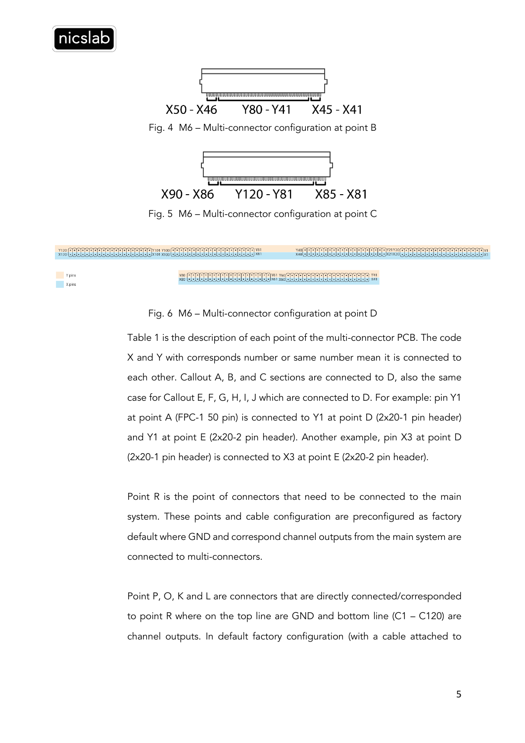





Fig. 5 M6 – Multi-connector configuration at point C



Fig. 6 M6 – Multi-connector configuration at point D

Table 1 is the description of each point of the multi-connector PCB. The code X and Y with corresponds number or same number mean it is connected to each other. Callout A, B, and C sections are connected to D, also the same case for Callout E, F, G, H, I, J which are connected to D. For example: pin Y1 at point A (FPC-1 50 pin) is connected to Y1 at point D (2x20-1 pin header) and Y1 at point E (2x20-2 pin header). Another example, pin X3 at point D (2x20-1 pin header) is connected to X3 at point E (2x20-2 pin header).

Point R is the point of connectors that need to be connected to the main system. These points and cable configuration are preconfigured as factory default where GND and correspond channel outputs from the main system are connected to multi-connectors.

Point P, O, K and L are connectors that are directly connected/corresponded to point R where on the top line are GND and bottom line (C1 – C120) are channel outputs. In default factory configuration (with a cable attached to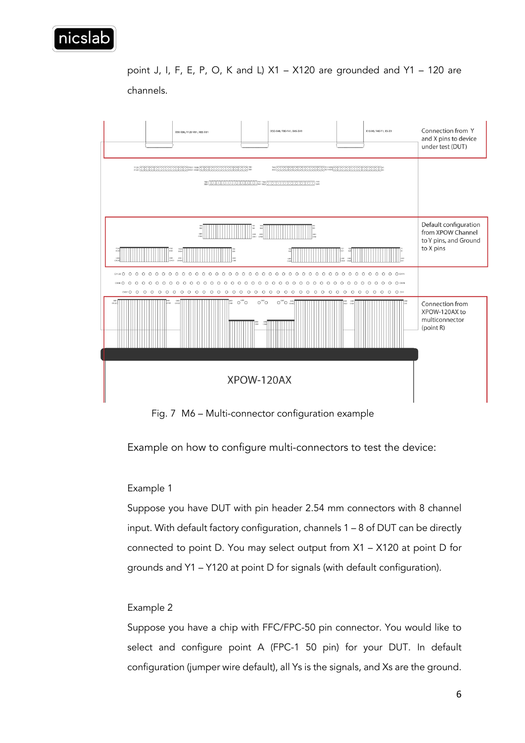

point J, I, F, E, P, O, K and L) X1 – X120 are grounded and Y1 – 120 are

channels.



Fig. 7 M6 – Multi-connector configuration example

Example on how to configure multi-connectors to test the device:

## Example 1

Suppose you have DUT with pin header 2.54 mm connectors with 8 channel input. With default factory configuration, channels 1 – 8 of DUT can be directly connected to point D. You may select output from X1 – X120 at point D for grounds and Y1 – Y120 at point D for signals (with default configuration).

## Example 2

Suppose you have a chip with FFC/FPC-50 pin connector. You would like to select and configure point A (FPC-1 50 pin) for your DUT. In default configuration (jumper wire default), all Ys is the signals, and Xs are the ground.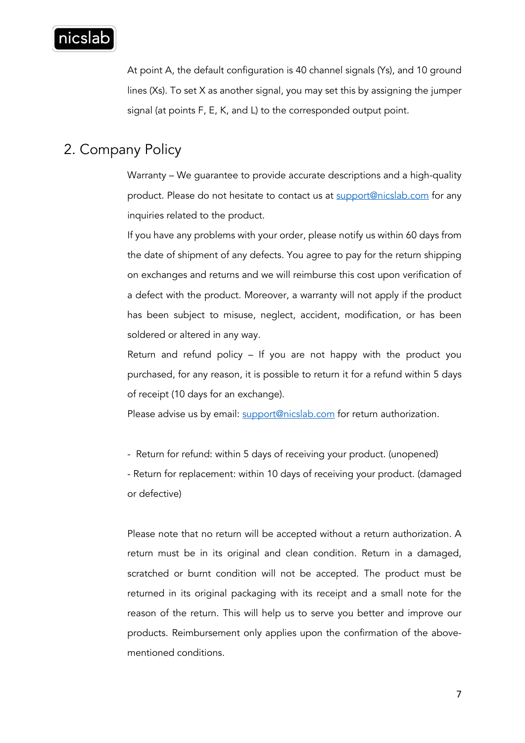

At point A, the default configuration is 40 channel signals (Ys), and 10 ground lines (Xs). To set X as another signal, you may set this by assigning the jumper signal (at points F, E, K, and L) to the corresponded output point.

## 2. Company Policy

Warranty – We guarantee to provide accurate descriptions and a high-quality product. Please do not hesitate to contact us at support@nicslab.com for any inquiries related to the product.

If you have any problems with your order, please notify us within 60 days from the date of shipment of any defects. You agree to pay for the return shipping on exchanges and returns and we will reimburse this cost upon verification of a defect with the product. Moreover, a warranty will not apply if the product has been subject to misuse, neglect, accident, modification, or has been soldered or altered in any way.

Return and refund policy – If you are not happy with the product you purchased, for any reason, it is possible to return it for a refund within 5 days of receipt (10 days for an exchange).

Please advise us by email: support@nicslab.com for return authorization.

- Return for refund: within 5 days of receiving your product. (unopened)

- Return for replacement: within 10 days of receiving your product. (damaged or defective)

Please note that no return will be accepted without a return authorization. A return must be in its original and clean condition. Return in a damaged, scratched or burnt condition will not be accepted. The product must be returned in its original packaging with its receipt and a small note for the reason of the return. This will help us to serve you better and improve our products. Reimbursement only applies upon the confirmation of the abovementioned conditions.